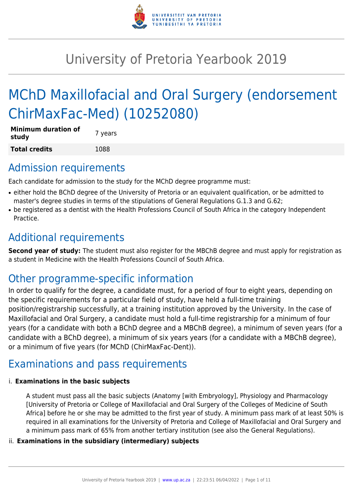

# University of Pretoria Yearbook 2019

# MChD Maxillofacial and Oral Surgery (endorsement ChirMaxFac-Med) (10252080)

| <b>Minimum duration of</b><br>study | 7 years |
|-------------------------------------|---------|
| <b>Total credits</b>                | 1088    |

# Admission requirements

Each candidate for admission to the study for the MChD degree programme must:

- either hold the BChD degree of the University of Pretoria or an equivalent qualification, or be admitted to master's degree studies in terms of the stipulations of General Regulations G.1.3 and G.62;
- be registered as a dentist with the Health Professions Council of South Africa in the category Independent Practice.

# Additional requirements

**Second year of study:** The student must also register for the MBChB degree and must apply for registration as a student in Medicine with the Health Professions Council of South Africa.

# Other programme-specific information

In order to qualify for the degree, a candidate must, for a period of four to eight years, depending on the specific requirements for a particular field of study, have held a full-time training position/registrarship successfully, at a training institution approved by the University. In the case of Maxillofacial and Oral Surgery, a candidate must hold a full-time registrarship for a minimum of four years (for a candidate with both a BChD degree and a MBChB degree), a minimum of seven years (for a candidate with a BChD degree), a minimum of six years years (for a candidate with a MBChB degree), or a minimum of five years (for MChD (ChirMaxFac-Dent)).

# Examinations and pass requirements

### i. **Examinations in the basic subjects**

A student must pass all the basic subjects (Anatomy [with Embryology], Physiology and Pharmacology [University of Pretoria or College of Maxillofacial and Oral Surgery of the Colleges of Medicine of South Africa] before he or she may be admitted to the first year of study. A minimum pass mark of at least 50% is required in all examinations for the University of Pretoria and College of Maxillofacial and Oral Surgery and a minimum pass mark of 65% from another tertiary institution (see also the General Regulations).

### ii. **Examinations in the subsidiary (intermediary) subjects**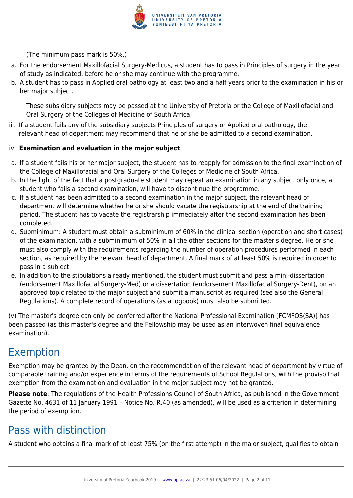

(The minimum pass mark is 50%.)

- a. For the endorsement Maxillofacial Surgery-Medicus, a student has to pass in Principles of surgery in the year of study as indicated, before he or she may continue with the programme.
- b. A student has to pass in Applied oral pathology at least two and a half years prior to the examination in his or her major subject.

These subsidiary subjects may be passed at the University of Pretoria or the College of Maxillofacial and Oral Surgery of the Colleges of Medicine of South Africa.

iii. If a student fails any of the subsidiary subjects Principles of surgery or Applied oral pathology, the relevant head of department may recommend that he or she be admitted to a second examination.

### iv. **Examination and evaluation in the major subject**

- a. If a student fails his or her major subject, the student has to reapply for admission to the final examination of the College of Maxillofacial and Oral Surgery of the Colleges of Medicine of South Africa.
- b. In the light of the fact that a postgraduate student may repeat an examination in any subject only once, a student who fails a second examination, will have to discontinue the programme.
- c. If a student has been admitted to a second examination in the major subject, the relevant head of department will determine whether he or she should vacate the registrarship at the end of the training period. The student has to vacate the registrarship immediately after the second examination has been completed.
- d. Subminimum: A student must obtain a subminimum of 60% in the clinical section (operation and short cases) of the examination, with a subminimum of 50% in all the other sections for the master's degree. He or she must also comply with the requirements regarding the number of operation procedures performed in each section, as required by the relevant head of department. A final mark of at least 50% is required in order to pass in a subject.
- e. In addition to the stipulations already mentioned, the student must submit and pass a mini-dissertation (endorsement Maxillofacial Surgery-Med) or a dissertation (endorsement Maxillofacial Surgery-Dent), on an approved topic related to the major subject and submit a manuscript as required (see also the General Regulations). A complete record of operations (as a logbook) must also be submitted.

(v) The master's degree can only be conferred after the National Professional Examination [FCMFOS(SA)] has been passed (as this master's degree and the Fellowship may be used as an interwoven final equivalence examination).

### Exemption

Exemption may be granted by the Dean, on the recommendation of the relevant head of department by virtue of comparable training and/or experience in terms of the requirements of School Regulations, with the proviso that exemption from the examination and evaluation in the major subject may not be granted.

**Please note**: The regulations of the Health Professions Council of South Africa, as published in the Government Gazette No. 4631 of 11 January 1991 – Notice No. R.40 (as amended), will be used as a criterion in determining the period of exemption.

# Pass with distinction

A student who obtains a final mark of at least 75% (on the first attempt) in the major subject, qualifies to obtain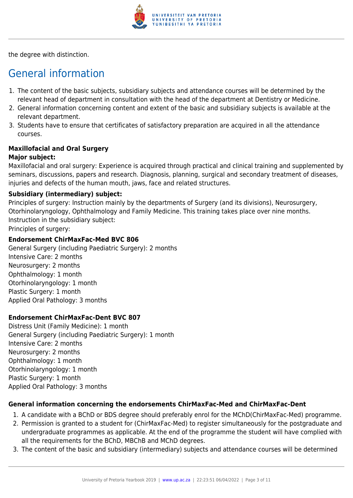

the degree with distinction.

# General information

- 1. The content of the basic subjects, subsidiary subjects and attendance courses will be determined by the relevant head of department in consultation with the head of the department at Dentistry or Medicine.
- 2. General information concerning content and extent of the basic and subsidiary subjects is available at the relevant department.
- 3. Students have to ensure that certificates of satisfactory preparation are acquired in all the attendance courses.

# **Maxillofacial and Oral Surgery**

### **Major subject:**

Maxillofacial and oral surgery: Experience is acquired through practical and clinical training and supplemented by seminars, discussions, papers and research. Diagnosis, planning, surgical and secondary treatment of diseases, injuries and defects of the human mouth, jaws, face and related structures.

### **Subsidiary (intermediary) subject:**

Principles of surgery: Instruction mainly by the departments of Surgery (and its divisions), Neurosurgery, Otorhinolaryngology, Ophthalmology and Family Medicine. This training takes place over nine months. Instruction in the subsidiary subject: Principles of surgery:

### **Endorsement ChirMaxFac-Med BVC 806**

General Surgery (including Paediatric Surgery): 2 months Intensive Care: 2 months Neurosurgery: 2 months Ophthalmology: 1 month Otorhinolaryngology: 1 month Plastic Surgery: 1 month Applied Oral Pathology: 3 months

### **Endorsement ChirMaxFac-Dent BVC 807**

Distress Unit (Family Medicine): 1 month General Surgery (including Paediatric Surgery): 1 month Intensive Care: 2 months Neurosurgery: 2 months Ophthalmology: 1 month Otorhinolaryngology: 1 month Plastic Surgery: 1 month Applied Oral Pathology: 3 months

### **General information concerning the endorsements ChirMaxFac-Med and ChirMaxFac-Dent**

- 1. A candidate with a BChD or BDS degree should preferably enrol for the MChD(ChirMaxFac-Med) programme.
- 2. Permission is granted to a student for (ChirMaxFac-Med) to register simultaneously for the postgraduate and undergraduate programmes as applicable. At the end of the programme the student will have complied with all the requirements for the BChD, MBChB and MChD degrees.
- 3. The content of the basic and subsidiary (intermediary) subjects and attendance courses will be determined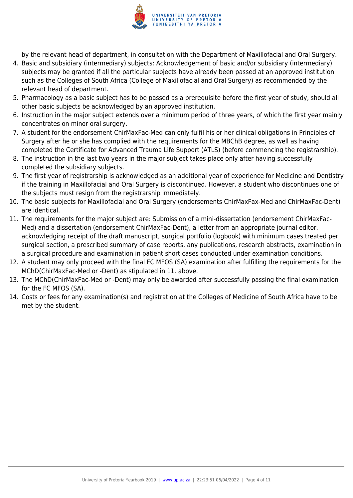

by the relevant head of department, in consultation with the Department of Maxillofacial and Oral Surgery.

- 4. Basic and subsidiary (intermediary) subjects: Acknowledgement of basic and/or subsidiary (intermediary) subjects may be granted if all the particular subjects have already been passed at an approved institution such as the Colleges of South Africa (College of Maxillofacial and Oral Surgery) as recommended by the relevant head of department.
- 5. Pharmacology as a basic subject has to be passed as a prerequisite before the first year of study, should all other basic subjects be acknowledged by an approved institution.
- 6. Instruction in the major subject extends over a minimum period of three years, of which the first year mainly concentrates on minor oral surgery.
- 7. A student for the endorsement ChirMaxFac-Med can only fulfil his or her clinical obligations in Principles of Surgery after he or she has complied with the requirements for the MBChB degree, as well as having completed the Certificate for Advanced Trauma Life Support (ATLS) (before commencing the registrarship).
- 8. The instruction in the last two years in the major subject takes place only after having successfully completed the subsidiary subjects.
- 9. The first year of registrarship is acknowledged as an additional year of experience for Medicine and Dentistry if the training in Maxillofacial and Oral Surgery is discontinued. However, a student who discontinues one of the subjects must resign from the registrarship immediately.
- 10. The basic subjects for Maxillofacial and Oral Surgery (endorsements ChirMaxFax-Med and ChirMaxFac-Dent) are identical.
- 11. The requirements for the major subject are: Submission of a mini-dissertation (endorsement ChirMaxFac-Med) and a dissertation (endorsement ChirMaxFac-Dent), a letter from an appropriate journal editor, acknowledging receipt of the draft manuscript, surgical portfolio (logbook) with minimum cases treated per surgical section, a prescribed summary of case reports, any publications, research abstracts, examination in a surgical procedure and examination in patient short cases conducted under examination conditions.
- 12. A student may only proceed with the final FC MFOS (SA) examination after fulfilling the requirements for the MChD(ChirMaxFac-Med or -Dent) as stipulated in 11. above.
- 13. The MChD(ChirMaxFac-Med or -Dent) may only be awarded after successfully passing the final examination for the FC MFOS (SA).
- 14. Costs or fees for any examination(s) and registration at the Colleges of Medicine of South Africa have to be met by the student.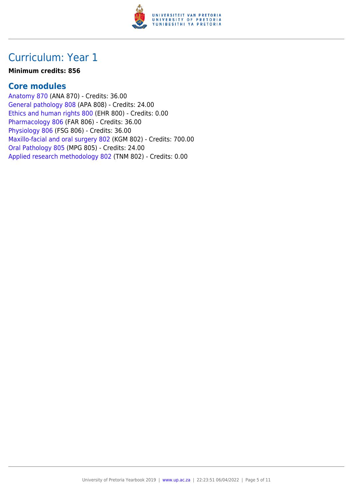

#### **Minimum credits: 856**

### **Core modules**

[Anatomy 870](https://www.up.ac.za/yearbooks/2019/modules/view/ANA 870) (ANA 870) - Credits: 36.00 [General pathology 808](https://www.up.ac.za/yearbooks/2019/modules/view/APA 808) (APA 808) - Credits: 24.00 [Ethics and human rights 800](https://www.up.ac.za/yearbooks/2019/modules/view/EHR 800) (EHR 800) - Credits: 0.00 [Pharmacology 806](https://www.up.ac.za/yearbooks/2019/modules/view/FAR 806) (FAR 806) - Credits: 36.00 [Physiology 806](https://www.up.ac.za/yearbooks/2019/modules/view/FSG 806) (FSG 806) - Credits: 36.00 [Maxillo-facial and oral surgery 802](https://www.up.ac.za/yearbooks/2019/modules/view/KGM 802) (KGM 802) - Credits: 700.00 [Oral Pathology 805](https://www.up.ac.za/yearbooks/2019/modules/view/MPG 805) (MPG 805) - Credits: 24.00 [Applied research methodology 802](https://www.up.ac.za/yearbooks/2019/modules/view/TNM 802) (TNM 802) - Credits: 0.00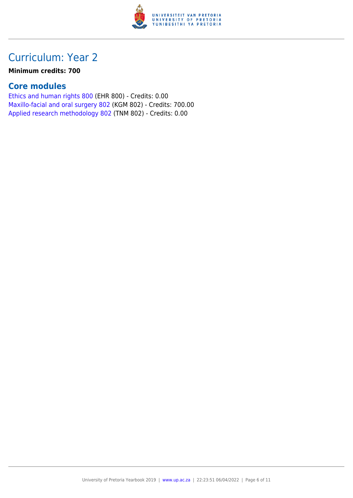

### **Minimum credits: 700**

### **Core modules**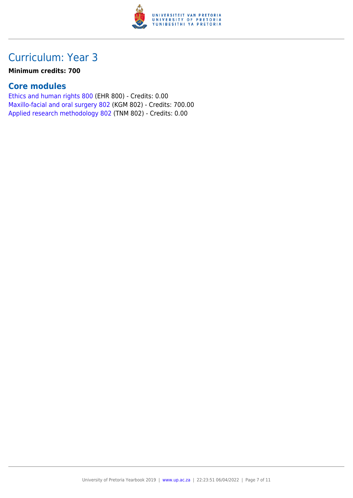

### **Minimum credits: 700**

### **Core modules**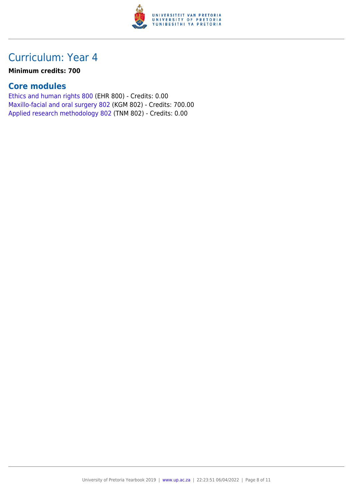

### **Minimum credits: 700**

### **Core modules**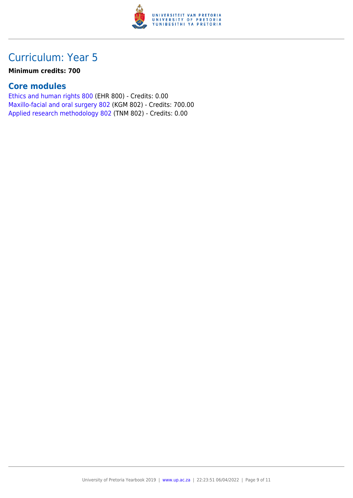

### **Minimum credits: 700**

### **Core modules**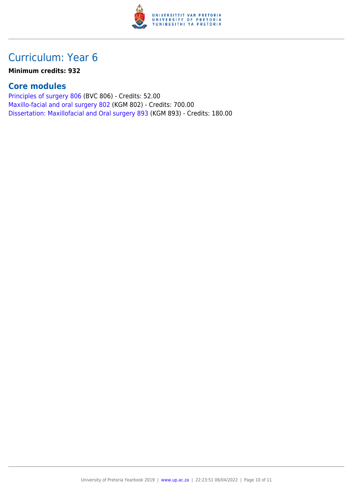

#### **Minimum credits: 932**

### **Core modules**

[Principles of surgery 806](https://www.up.ac.za/yearbooks/2019/modules/view/BVC 806) (BVC 806) - Credits: 52.00 [Maxillo-facial and oral surgery 802](https://www.up.ac.za/yearbooks/2019/modules/view/KGM 802) (KGM 802) - Credits: 700.00 [Dissertation: Maxillofacial and Oral surgery 893](https://www.up.ac.za/yearbooks/2019/modules/view/KGM 893) (KGM 893) - Credits: 180.00